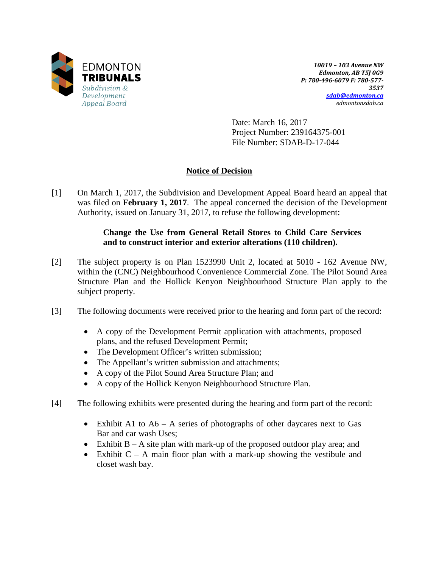

*10019 – 103 Avenue NW Edmonton, AB T5J 0G9 P: 780-496-6079 F: 780-577- 3537 [sdab@edmonton.ca](mailto:sdab@edmonton.ca) edmontonsdab.ca*

Date: March 16, 2017 Project Number: 239164375-001 File Number: SDAB-D-17-044

# **Notice of Decision**

[1] On March 1, 2017, the Subdivision and Development Appeal Board heard an appeal that was filed on **February 1, 2017**. The appeal concerned the decision of the Development Authority, issued on January 31, 2017, to refuse the following development:

## **Change the Use from General Retail Stores to Child Care Services and to construct interior and exterior alterations (110 children).**

- [2] The subject property is on Plan 1523990 Unit 2, located at 5010 162 Avenue NW, within the (CNC) Neighbourhood Convenience Commercial Zone. The Pilot Sound Area Structure Plan and the Hollick Kenyon Neighbourhood Structure Plan apply to the subject property.
- [3] The following documents were received prior to the hearing and form part of the record:
	- A copy of the Development Permit application with attachments, proposed plans, and the refused Development Permit;
	- The Development Officer's written submission;
	- The Appellant's written submission and attachments;
	- A copy of the Pilot Sound Area Structure Plan; and
	- A copy of the Hollick Kenyon Neighbourhood Structure Plan.
- [4] The following exhibits were presented during the hearing and form part of the record:
	- Exhibit A1 to A6 A series of photographs of other daycares next to Gas Bar and car wash Uses;
	- Exhibit B A site plan with mark-up of the proposed outdoor play area; and
	- Exhibit  $C A$  main floor plan with a mark-up showing the vestibule and closet wash bay.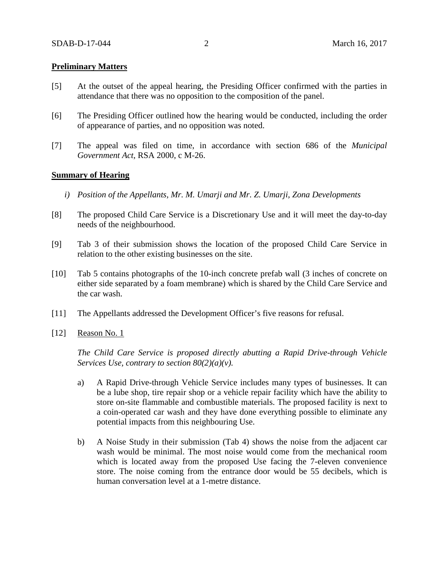### **Preliminary Matters**

- [5] At the outset of the appeal hearing, the Presiding Officer confirmed with the parties in attendance that there was no opposition to the composition of the panel.
- [6] The Presiding Officer outlined how the hearing would be conducted, including the order of appearance of parties, and no opposition was noted.
- [7] The appeal was filed on time, in accordance with section 686 of the *Municipal Government Act*, RSA 2000, c M-26.

#### **Summary of Hearing**

- *i) Position of the Appellants, Mr. M. Umarji and Mr. Z. Umarji, Zona Developments*
- [8] The proposed Child Care Service is a Discretionary Use and it will meet the day-to-day needs of the neighbourhood.
- [9] Tab 3 of their submission shows the location of the proposed Child Care Service in relation to the other existing businesses on the site.
- [10] Tab 5 contains photographs of the 10-inch concrete prefab wall (3 inches of concrete on either side separated by a foam membrane) which is shared by the Child Care Service and the car wash.
- [11] The Appellants addressed the Development Officer's five reasons for refusal.
- [12] Reason No. 1

*The Child Care Service is proposed directly abutting a Rapid Drive-through Vehicle Services Use, contrary to section 80(2)(a)(v).*

- a) A Rapid Drive-through Vehicle Service includes many types of businesses. It can be a lube shop, tire repair shop or a vehicle repair facility which have the ability to store on-site flammable and combustible materials. The proposed facility is next to a coin-operated car wash and they have done everything possible to eliminate any potential impacts from this neighbouring Use.
- b) A Noise Study in their submission (Tab 4) shows the noise from the adjacent car wash would be minimal. The most noise would come from the mechanical room which is located away from the proposed Use facing the 7-eleven convenience store. The noise coming from the entrance door would be 55 decibels, which is human conversation level at a 1-metre distance.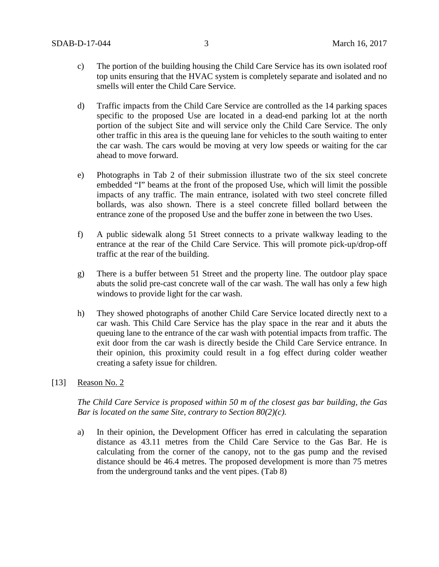- c) The portion of the building housing the Child Care Service has its own isolated roof top units ensuring that the HVAC system is completely separate and isolated and no smells will enter the Child Care Service.
- d) Traffic impacts from the Child Care Service are controlled as the 14 parking spaces specific to the proposed Use are located in a dead-end parking lot at the north portion of the subject Site and will service only the Child Care Service. The only other traffic in this area is the queuing lane for vehicles to the south waiting to enter the car wash. The cars would be moving at very low speeds or waiting for the car ahead to move forward.
- e) Photographs in Tab 2 of their submission illustrate two of the six steel concrete embedded "I" beams at the front of the proposed Use, which will limit the possible impacts of any traffic. The main entrance, isolated with two steel concrete filled bollards, was also shown. There is a steel concrete filled bollard between the entrance zone of the proposed Use and the buffer zone in between the two Uses.
- f) A public sidewalk along 51 Street connects to a private walkway leading to the entrance at the rear of the Child Care Service. This will promote pick-up/drop-off traffic at the rear of the building.
- g) There is a buffer between 51 Street and the property line. The outdoor play space abuts the solid pre-cast concrete wall of the car wash. The wall has only a few high windows to provide light for the car wash.
- h) They showed photographs of another Child Care Service located directly next to a car wash. This Child Care Service has the play space in the rear and it abuts the queuing lane to the entrance of the car wash with potential impacts from traffic. The exit door from the car wash is directly beside the Child Care Service entrance. In their opinion, this proximity could result in a fog effect during colder weather creating a safety issue for children.
- [13] Reason No. 2

*The Child Care Service is proposed within 50 m of the closest gas bar building, the Gas Bar is located on the same Site, contrary to Section 80(2)(c).*

a) In their opinion, the Development Officer has erred in calculating the separation distance as 43.11 metres from the Child Care Service to the Gas Bar. He is calculating from the corner of the canopy, not to the gas pump and the revised distance should be 46.4 metres. The proposed development is more than 75 metres from the underground tanks and the vent pipes. (Tab 8)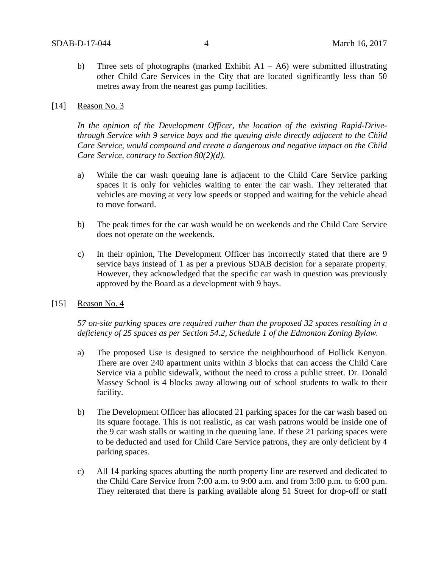b) Three sets of photographs (marked Exhibit  $A1 - A6$ ) were submitted illustrating other Child Care Services in the City that are located significantly less than 50 metres away from the nearest gas pump facilities.

#### [14] Reason No. 3

*In the opinion of the Development Officer, the location of the existing Rapid-Drivethrough Service with 9 service bays and the queuing aisle directly adjacent to the Child Care Service, would compound and create a dangerous and negative impact on the Child Care Service, contrary to Section 80(2)(d).*

- a) While the car wash queuing lane is adjacent to the Child Care Service parking spaces it is only for vehicles waiting to enter the car wash. They reiterated that vehicles are moving at very low speeds or stopped and waiting for the vehicle ahead to move forward.
- b) The peak times for the car wash would be on weekends and the Child Care Service does not operate on the weekends.
- c) In their opinion, The Development Officer has incorrectly stated that there are 9 service bays instead of 1 as per a previous SDAB decision for a separate property. However, they acknowledged that the specific car wash in question was previously approved by the Board as a development with 9 bays.
- [15] Reason No. 4

*57 on-site parking spaces are required rather than the proposed 32 spaces resulting in a deficiency of 25 spaces as per Section 54.2, Schedule 1 of the Edmonton Zoning Bylaw.*

- a) The proposed Use is designed to service the neighbourhood of Hollick Kenyon. There are over 240 apartment units within 3 blocks that can access the Child Care Service via a public sidewalk, without the need to cross a public street. Dr. Donald Massey School is 4 blocks away allowing out of school students to walk to their facility.
- b) The Development Officer has allocated 21 parking spaces for the car wash based on its square footage. This is not realistic, as car wash patrons would be inside one of the 9 car wash stalls or waiting in the queuing lane. If these 21 parking spaces were to be deducted and used for Child Care Service patrons, they are only deficient by 4 parking spaces.
- c) All 14 parking spaces abutting the north property line are reserved and dedicated to the Child Care Service from 7:00 a.m. to 9:00 a.m. and from 3:00 p.m. to 6:00 p.m. They reiterated that there is parking available along 51 Street for drop-off or staff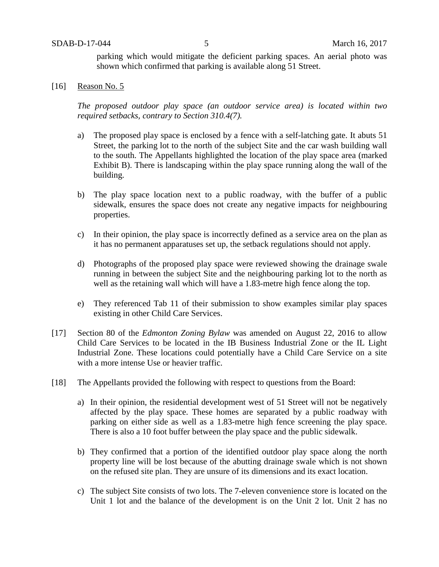parking which would mitigate the deficient parking spaces. An aerial photo was shown which confirmed that parking is available along 51 Street.

[16] Reason No. 5

*The proposed outdoor play space (an outdoor service area) is located within two required setbacks, contrary to Section 310.4(7).*

- a) The proposed play space is enclosed by a fence with a self-latching gate. It abuts 51 Street, the parking lot to the north of the subject Site and the car wash building wall to the south. The Appellants highlighted the location of the play space area (marked Exhibit B). There is landscaping within the play space running along the wall of the building.
- b) The play space location next to a public roadway, with the buffer of a public sidewalk, ensures the space does not create any negative impacts for neighbouring properties.
- c) In their opinion, the play space is incorrectly defined as a service area on the plan as it has no permanent apparatuses set up, the setback regulations should not apply.
- d) Photographs of the proposed play space were reviewed showing the drainage swale running in between the subject Site and the neighbouring parking lot to the north as well as the retaining wall which will have a 1.83-metre high fence along the top.
- e) They referenced Tab 11 of their submission to show examples similar play spaces existing in other Child Care Services.
- [17] Section 80 of the *Edmonton Zoning Bylaw* was amended on August 22, 2016 to allow Child Care Services to be located in the IB Business Industrial Zone or the IL Light Industrial Zone. These locations could potentially have a Child Care Service on a site with a more intense Use or heavier traffic.
- [18] The Appellants provided the following with respect to questions from the Board:
	- a) In their opinion, the residential development west of 51 Street will not be negatively affected by the play space. These homes are separated by a public roadway with parking on either side as well as a 1.83-metre high fence screening the play space. There is also a 10 foot buffer between the play space and the public sidewalk.
	- b) They confirmed that a portion of the identified outdoor play space along the north property line will be lost because of the abutting drainage swale which is not shown on the refused site plan. They are unsure of its dimensions and its exact location.
	- c) The subject Site consists of two lots. The 7-eleven convenience store is located on the Unit 1 lot and the balance of the development is on the Unit 2 lot. Unit 2 has no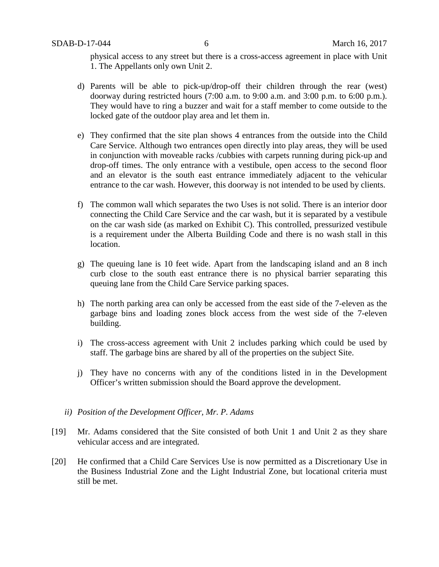physical access to any street but there is a cross-access agreement in place with Unit 1. The Appellants only own Unit 2.

- d) Parents will be able to pick-up/drop-off their children through the rear (west) doorway during restricted hours (7:00 a.m. to 9:00 a.m. and 3:00 p.m. to 6:00 p.m.). They would have to ring a buzzer and wait for a staff member to come outside to the locked gate of the outdoor play area and let them in.
- e) They confirmed that the site plan shows 4 entrances from the outside into the Child Care Service. Although two entrances open directly into play areas, they will be used in conjunction with moveable racks /cubbies with carpets running during pick-up and drop-off times. The only entrance with a vestibule, open access to the second floor and an elevator is the south east entrance immediately adjacent to the vehicular entrance to the car wash. However, this doorway is not intended to be used by clients.
- f) The common wall which separates the two Uses is not solid. There is an interior door connecting the Child Care Service and the car wash, but it is separated by a vestibule on the car wash side (as marked on Exhibit C). This controlled, pressurized vestibule is a requirement under the Alberta Building Code and there is no wash stall in this location.
- g) The queuing lane is 10 feet wide. Apart from the landscaping island and an 8 inch curb close to the south east entrance there is no physical barrier separating this queuing lane from the Child Care Service parking spaces.
- h) The north parking area can only be accessed from the east side of the 7-eleven as the garbage bins and loading zones block access from the west side of the 7-eleven building.
- i) The cross-access agreement with Unit 2 includes parking which could be used by staff. The garbage bins are shared by all of the properties on the subject Site.
- j) They have no concerns with any of the conditions listed in in the Development Officer's written submission should the Board approve the development.
- *ii) Position of the Development Officer, Mr. P. Adams*
- [19] Mr. Adams considered that the Site consisted of both Unit 1 and Unit 2 as they share vehicular access and are integrated.
- [20] He confirmed that a Child Care Services Use is now permitted as a Discretionary Use in the Business Industrial Zone and the Light Industrial Zone, but locational criteria must still be met.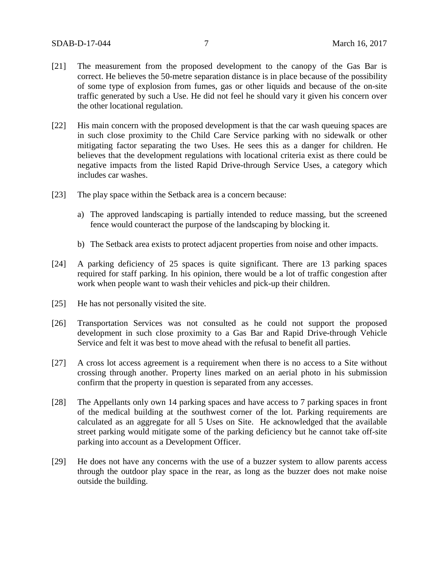- [21] The measurement from the proposed development to the canopy of the Gas Bar is correct. He believes the 50-metre separation distance is in place because of the possibility of some type of explosion from fumes, gas or other liquids and because of the on-site traffic generated by such a Use. He did not feel he should vary it given his concern over the other locational regulation.
- [22] His main concern with the proposed development is that the car wash queuing spaces are in such close proximity to the Child Care Service parking with no sidewalk or other mitigating factor separating the two Uses. He sees this as a danger for children. He believes that the development regulations with locational criteria exist as there could be negative impacts from the listed Rapid Drive-through Service Uses, a category which includes car washes.
- [23] The play space within the Setback area is a concern because:
	- a) The approved landscaping is partially intended to reduce massing, but the screened fence would counteract the purpose of the landscaping by blocking it.
	- b) The Setback area exists to protect adjacent properties from noise and other impacts.
- [24] A parking deficiency of 25 spaces is quite significant. There are 13 parking spaces required for staff parking. In his opinion, there would be a lot of traffic congestion after work when people want to wash their vehicles and pick-up their children.
- [25] He has not personally visited the site.
- [26] Transportation Services was not consulted as he could not support the proposed development in such close proximity to a Gas Bar and Rapid Drive-through Vehicle Service and felt it was best to move ahead with the refusal to benefit all parties.
- [27] A cross lot access agreement is a requirement when there is no access to a Site without crossing through another. Property lines marked on an aerial photo in his submission confirm that the property in question is separated from any accesses.
- [28] The Appellants only own 14 parking spaces and have access to 7 parking spaces in front of the medical building at the southwest corner of the lot. Parking requirements are calculated as an aggregate for all 5 Uses on Site. He acknowledged that the available street parking would mitigate some of the parking deficiency but he cannot take off-site parking into account as a Development Officer.
- [29] He does not have any concerns with the use of a buzzer system to allow parents access through the outdoor play space in the rear, as long as the buzzer does not make noise outside the building.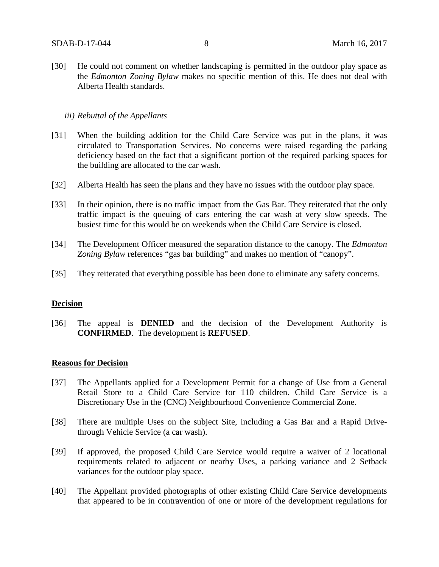[30] He could not comment on whether landscaping is permitted in the outdoor play space as the *Edmonton Zoning Bylaw* makes no specific mention of this. He does not deal with Alberta Health standards.

### *iii) Rebuttal of the Appellants*

- [31] When the building addition for the Child Care Service was put in the plans, it was circulated to Transportation Services. No concerns were raised regarding the parking deficiency based on the fact that a significant portion of the required parking spaces for the building are allocated to the car wash.
- [32] Alberta Health has seen the plans and they have no issues with the outdoor play space.
- [33] In their opinion, there is no traffic impact from the Gas Bar. They reiterated that the only traffic impact is the queuing of cars entering the car wash at very slow speeds. The busiest time for this would be on weekends when the Child Care Service is closed.
- [34] The Development Officer measured the separation distance to the canopy. The *Edmonton Zoning Bylaw* references "gas bar building" and makes no mention of "canopy".
- [35] They reiterated that everything possible has been done to eliminate any safety concerns.

### **Decision**

[36] The appeal is **DENIED** and the decision of the Development Authority is **CONFIRMED**. The development is **REFUSED**.

### **Reasons for Decision**

- [37] The Appellants applied for a Development Permit for a change of Use from a General Retail Store to a Child Care Service for 110 children. Child Care Service is a Discretionary Use in the (CNC) Neighbourhood Convenience Commercial Zone.
- [38] There are multiple Uses on the subject Site, including a Gas Bar and a Rapid Drivethrough Vehicle Service (a car wash).
- [39] If approved, the proposed Child Care Service would require a waiver of 2 locational requirements related to adjacent or nearby Uses, a parking variance and 2 Setback variances for the outdoor play space.
- [40] The Appellant provided photographs of other existing Child Care Service developments that appeared to be in contravention of one or more of the development regulations for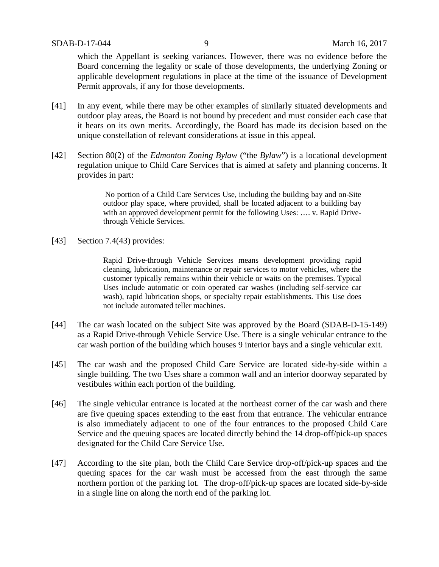which the Appellant is seeking variances. However, there was no evidence before the Board concerning the legality or scale of those developments, the underlying Zoning or applicable development regulations in place at the time of the issuance of Development Permit approvals, if any for those developments.

- [41] In any event, while there may be other examples of similarly situated developments and outdoor play areas, the Board is not bound by precedent and must consider each case that it hears on its own merits. Accordingly, the Board has made its decision based on the unique constellation of relevant considerations at issue in this appeal.
- [42] Section 80(2) of the *Edmonton Zoning Bylaw* ("the *Bylaw*") is a locational development regulation unique to Child Care Services that is aimed at safety and planning concerns. It provides in part:

No portion of a Child Care Services Use, including the building bay and on-Site outdoor play space, where provided, shall be located adjacent to a building bay with an approved development permit for the following Uses: .... v. Rapid Drivethrough Vehicle Services.

[43] Section 7.4(43) provides:

Rapid Drive-through Vehicle Services means development providing rapid cleaning, lubrication, maintenance or repair services to motor vehicles, where the customer typically remains within their vehicle or waits on the premises. Typical Uses include automatic or coin operated car washes (including self-service car wash), rapid lubrication shops, or specialty repair establishments. This Use does not include automated teller machines.

- [44] The car wash located on the subject Site was approved by the Board (SDAB-D-15-149) as a Rapid Drive-through Vehicle Service Use. There is a single vehicular entrance to the car wash portion of the building which houses 9 interior bays and a single vehicular exit.
- [45] The car wash and the proposed Child Care Service are located side-by-side within a single building. The two Uses share a common wall and an interior doorway separated by vestibules within each portion of the building.
- [46] The single vehicular entrance is located at the northeast corner of the car wash and there are five queuing spaces extending to the east from that entrance. The vehicular entrance is also immediately adjacent to one of the four entrances to the proposed Child Care Service and the queuing spaces are located directly behind the 14 drop-off/pick-up spaces designated for the Child Care Service Use.
- [47] According to the site plan, both the Child Care Service drop-off/pick-up spaces and the queuing spaces for the car wash must be accessed from the east through the same northern portion of the parking lot. The drop-off/pick-up spaces are located side-by-side in a single line on along the north end of the parking lot.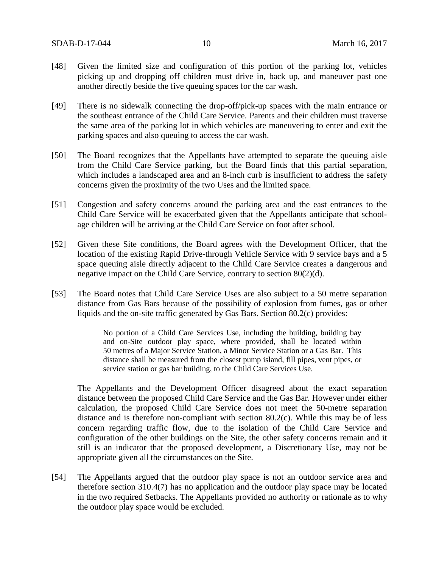- [48] Given the limited size and configuration of this portion of the parking lot, vehicles picking up and dropping off children must drive in, back up, and maneuver past one another directly beside the five queuing spaces for the car wash.
- [49] There is no sidewalk connecting the drop-off/pick-up spaces with the main entrance or the southeast entrance of the Child Care Service. Parents and their children must traverse the same area of the parking lot in which vehicles are maneuvering to enter and exit the parking spaces and also queuing to access the car wash.
- [50] The Board recognizes that the Appellants have attempted to separate the queuing aisle from the Child Care Service parking, but the Board finds that this partial separation, which includes a landscaped area and an 8-inch curb is insufficient to address the safety concerns given the proximity of the two Uses and the limited space.
- [51] Congestion and safety concerns around the parking area and the east entrances to the Child Care Service will be exacerbated given that the Appellants anticipate that schoolage children will be arriving at the Child Care Service on foot after school.
- [52] Given these Site conditions, the Board agrees with the Development Officer, that the location of the existing Rapid Drive-through Vehicle Service with 9 service bays and a 5 space queuing aisle directly adjacent to the Child Care Service creates a dangerous and negative impact on the Child Care Service, contrary to section 80(2)(d).
- [53] The Board notes that Child Care Service Uses are also subject to a 50 metre separation distance from Gas Bars because of the possibility of explosion from fumes, gas or other liquids and the on-site traffic generated by Gas Bars. Section 80.2(c) provides:

No portion of a Child Care Services Use, including the building, building bay and on-Site outdoor play space, where provided, shall be located within 50 metres of a Major Service Station, a Minor Service Station or a Gas Bar. This distance shall be measured from the closest pump island, fill pipes, vent pipes, or service station or gas bar building, to the Child Care Services Use.

The Appellants and the Development Officer disagreed about the exact separation distance between the proposed Child Care Service and the Gas Bar. However under either calculation, the proposed Child Care Service does not meet the 50-metre separation distance and is therefore non-compliant with section 80.2(c). While this may be of less concern regarding traffic flow, due to the isolation of the Child Care Service and configuration of the other buildings on the Site, the other safety concerns remain and it still is an indicator that the proposed development, a Discretionary Use, may not be appropriate given all the circumstances on the Site.

[54] The Appellants argued that the outdoor play space is not an outdoor service area and therefore section 310.4(7) has no application and the outdoor play space may be located in the two required Setbacks. The Appellants provided no authority or rationale as to why the outdoor play space would be excluded*.*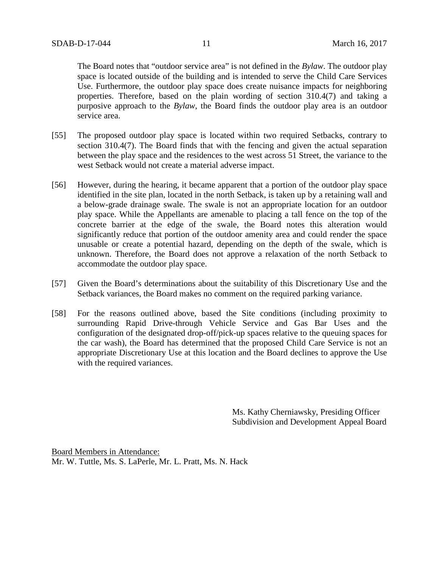The Board notes that "outdoor service area" is not defined in the *Bylaw*. The outdoor play space is located outside of the building and is intended to serve the Child Care Services Use. Furthermore, the outdoor play space does create nuisance impacts for neighboring properties. Therefore, based on the plain wording of section 310.4(7) and taking a purposive approach to the *Bylaw*, the Board finds the outdoor play area is an outdoor service area.

- [55] The proposed outdoor play space is located within two required Setbacks, contrary to section 310.4(7). The Board finds that with the fencing and given the actual separation between the play space and the residences to the west across 51 Street, the variance to the west Setback would not create a material adverse impact.
- [56] However, during the hearing, it became apparent that a portion of the outdoor play space identified in the site plan, located in the north Setback, is taken up by a retaining wall and a below-grade drainage swale. The swale is not an appropriate location for an outdoor play space. While the Appellants are amenable to placing a tall fence on the top of the concrete barrier at the edge of the swale, the Board notes this alteration would significantly reduce that portion of the outdoor amenity area and could render the space unusable or create a potential hazard, depending on the depth of the swale, which is unknown. Therefore, the Board does not approve a relaxation of the north Setback to accommodate the outdoor play space.
- [57] Given the Board's determinations about the suitability of this Discretionary Use and the Setback variances, the Board makes no comment on the required parking variance.
- [58] For the reasons outlined above, based the Site conditions (including proximity to surrounding Rapid Drive-through Vehicle Service and Gas Bar Uses and the configuration of the designated drop-off/pick-up spaces relative to the queuing spaces for the car wash), the Board has determined that the proposed Child Care Service is not an appropriate Discretionary Use at this location and the Board declines to approve the Use with the required variances.

Ms. Kathy Cherniawsky, Presiding Officer Subdivision and Development Appeal Board

Board Members in Attendance: Mr. W. Tuttle, Ms. S. LaPerle, Mr. L. Pratt, Ms. N. Hack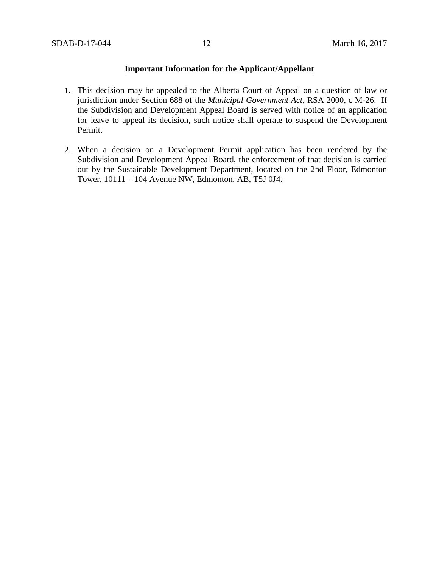## **Important Information for the Applicant/Appellant**

- 1. This decision may be appealed to the Alberta Court of Appeal on a question of law or jurisdiction under Section 688 of the *Municipal Government Act*, RSA 2000, c M-26. If the Subdivision and Development Appeal Board is served with notice of an application for leave to appeal its decision, such notice shall operate to suspend the Development Permit.
- 2. When a decision on a Development Permit application has been rendered by the Subdivision and Development Appeal Board, the enforcement of that decision is carried out by the Sustainable Development Department, located on the 2nd Floor, Edmonton Tower, 10111 – 104 Avenue NW, Edmonton, AB, T5J 0J4.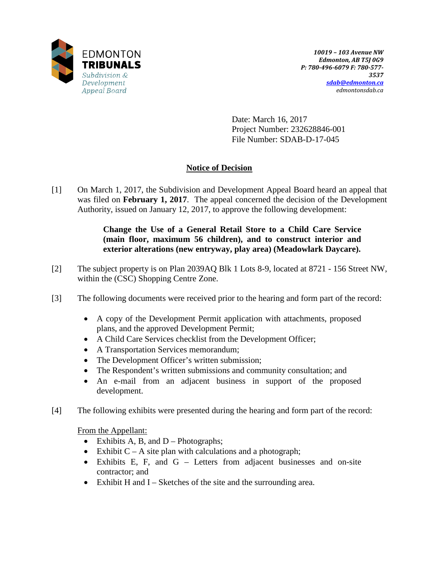

Date: March 16, 2017 Project Number: 232628846-001 File Number: SDAB-D-17-045

# **Notice of Decision**

[1] On March 1, 2017, the Subdivision and Development Appeal Board heard an appeal that was filed on **February 1, 2017**. The appeal concerned the decision of the Development Authority, issued on January 12, 2017, to approve the following development:

## **Change the Use of a General Retail Store to a Child Care Service (main floor, maximum 56 children), and to construct interior and exterior alterations (new entryway, play area) (Meadowlark Daycare).**

- [2] The subject property is on Plan 2039AQ Blk 1 Lots 8-9, located at 8721 156 Street NW, within the (CSC) Shopping Centre Zone.
- [3] The following documents were received prior to the hearing and form part of the record:
	- A copy of the Development Permit application with attachments, proposed plans, and the approved Development Permit;
	- A Child Care Services checklist from the Development Officer;
	- A Transportation Services memorandum;
	- The Development Officer's written submission;
	- The Respondent's written submissions and community consultation; and
	- An e-mail from an adjacent business in support of the proposed development.
- [4] The following exhibits were presented during the hearing and form part of the record:

From the Appellant:

- Exhibits A, B, and  $D -$ Photographs;
- Exhibit  $C A$  site plan with calculations and a photograph;
- Exhibits E, F, and G Letters from adjacent businesses and on-site contractor; and
- Exhibit H and I Sketches of the site and the surrounding area.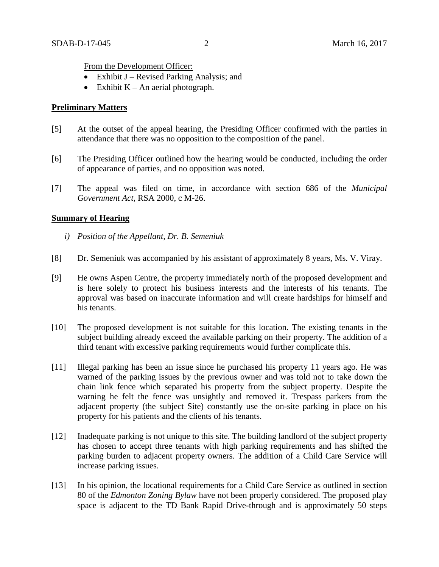From the Development Officer:

- Exhibit  $J$  Revised Parking Analysis; and
- Exhibit  $K An$  aerial photograph.

## **Preliminary Matters**

- [5] At the outset of the appeal hearing, the Presiding Officer confirmed with the parties in attendance that there was no opposition to the composition of the panel.
- [6] The Presiding Officer outlined how the hearing would be conducted, including the order of appearance of parties, and no opposition was noted.
- [7] The appeal was filed on time, in accordance with section 686 of the *Municipal Government Act*, RSA 2000, c M-26.

### **Summary of Hearing**

- *i) Position of the Appellant, Dr. B. Semeniuk*
- [8] Dr. Semeniuk was accompanied by his assistant of approximately 8 years, Ms. V. Viray.
- [9] He owns Aspen Centre, the property immediately north of the proposed development and is here solely to protect his business interests and the interests of his tenants. The approval was based on inaccurate information and will create hardships for himself and his tenants.
- [10] The proposed development is not suitable for this location. The existing tenants in the subject building already exceed the available parking on their property. The addition of a third tenant with excessive parking requirements would further complicate this.
- [11] Illegal parking has been an issue since he purchased his property 11 years ago. He was warned of the parking issues by the previous owner and was told not to take down the chain link fence which separated his property from the subject property. Despite the warning he felt the fence was unsightly and removed it. Trespass parkers from the adjacent property (the subject Site) constantly use the on-site parking in place on his property for his patients and the clients of his tenants.
- [12] Inadequate parking is not unique to this site. The building landlord of the subject property has chosen to accept three tenants with high parking requirements and has shifted the parking burden to adjacent property owners. The addition of a Child Care Service will increase parking issues.
- [13] In his opinion, the locational requirements for a Child Care Service as outlined in section 80 of the *Edmonton Zoning Bylaw* have not been properly considered. The proposed play space is adjacent to the TD Bank Rapid Drive-through and is approximately 50 steps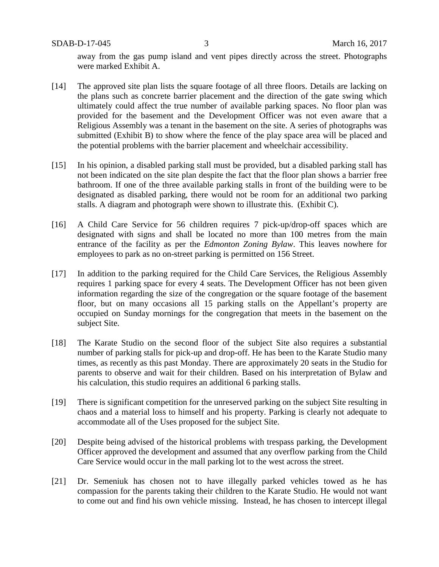SDAB-D-17-045 3 March 16, 2017

away from the gas pump island and vent pipes directly across the street. Photographs were marked Exhibit A.

- [14] The approved site plan lists the square footage of all three floors. Details are lacking on the plans such as concrete barrier placement and the direction of the gate swing which ultimately could affect the true number of available parking spaces. No floor plan was provided for the basement and the Development Officer was not even aware that a Religious Assembly was a tenant in the basement on the site. A series of photographs was submitted (Exhibit B) to show where the fence of the play space area will be placed and the potential problems with the barrier placement and wheelchair accessibility.
- [15] In his opinion, a disabled parking stall must be provided, but a disabled parking stall has not been indicated on the site plan despite the fact that the floor plan shows a barrier free bathroom. If one of the three available parking stalls in front of the building were to be designated as disabled parking, there would not be room for an additional two parking stalls. A diagram and photograph were shown to illustrate this. (Exhibit C).
- [16] A Child Care Service for 56 children requires 7 pick-up/drop-off spaces which are designated with signs and shall be located no more than 100 metres from the main entrance of the facility as per the *Edmonton Zoning Bylaw*. This leaves nowhere for employees to park as no on-street parking is permitted on 156 Street.
- [17] In addition to the parking required for the Child Care Services, the Religious Assembly requires 1 parking space for every 4 seats. The Development Officer has not been given information regarding the size of the congregation or the square footage of the basement floor, but on many occasions all 15 parking stalls on the Appellant's property are occupied on Sunday mornings for the congregation that meets in the basement on the subject Site.
- [18] The Karate Studio on the second floor of the subject Site also requires a substantial number of parking stalls for pick-up and drop-off. He has been to the Karate Studio many times, as recently as this past Monday. There are approximately 20 seats in the Studio for parents to observe and wait for their children. Based on his interpretation of Bylaw and his calculation, this studio requires an additional 6 parking stalls.
- [19] There is significant competition for the unreserved parking on the subject Site resulting in chaos and a material loss to himself and his property. Parking is clearly not adequate to accommodate all of the Uses proposed for the subject Site.
- [20] Despite being advised of the historical problems with trespass parking, the Development Officer approved the development and assumed that any overflow parking from the Child Care Service would occur in the mall parking lot to the west across the street.
- [21] Dr. Semeniuk has chosen not to have illegally parked vehicles towed as he has compassion for the parents taking their children to the Karate Studio. He would not want to come out and find his own vehicle missing. Instead, he has chosen to intercept illegal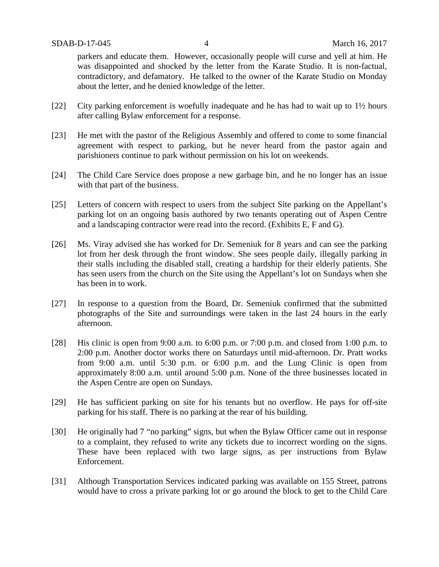parkers and educate them. However, occasionally people will curse and yell at him. He was disappointed and shocked by the letter from the Karate Studio. It is non-factual, contradictory, and defamatory. He talked to the owner of the Karate Studio on Monday about the letter, and he denied knowledge of the letter.

- [22] City parking enforcement is woefully inadequate and he has had to wait up to 1½ hours after calling Bylaw enforcement for a response.
- [23] He met with the pastor of the Religious Assembly and offered to come to some financial agreement with respect to parking, but he never heard from the pastor again and parishioners continue to park without permission on his lot on weekends.
- [24] The Child Care Service does propose a new garbage bin, and he no longer has an issue with that part of the business.
- [25] Letters of concern with respect to users from the subject Site parking on the Appellant's parking lot on an ongoing basis authored by two tenants operating out of Aspen Centre and a landscaping contractor were read into the record. (Exhibits E, F and G).
- [26] Ms. Viray advised she has worked for Dr. Semeniuk for 8 years and can see the parking lot from her desk through the front window. She sees people daily, illegally parking in their stalls including the disabled stall, creating a hardship for their elderly patients. She has seen users from the church on the Site using the Appellant's lot on Sundays when she has been in to work.
- [27] In response to a question from the Board, Dr. Semeniuk confirmed that the submitted photographs of the Site and surroundings were taken in the last 24 hours in the early afternoon.
- [28] His clinic is open from 9:00 a.m. to 6:00 p.m. or 7:00 p.m. and closed from 1:00 p.m. to 2:00 p.m. Another doctor works there on Saturdays until mid-afternoon. Dr. Pratt works from 9:00 a.m. until 5:30 p.m. or 6:00 p.m. and the Lung Clinic is open from approximately 8:00 a.m. until around 5:00 p.m. None of the three businesses located in the Aspen Centre are open on Sundays.
- [29] He has sufficient parking on site for his tenants but no overflow. He pays for off-site parking for his staff. There is no parking at the rear of his building.
- [30] He originally had 7 "no parking" signs, but when the Bylaw Officer came out in response to a complaint, they refused to write any tickets due to incorrect wording on the signs. These have been replaced with two large signs, as per instructions from Bylaw Enforcement.
- [31] Although Transportation Services indicated parking was available on 155 Street, patrons would have to cross a private parking lot or go around the block to get to the Child Care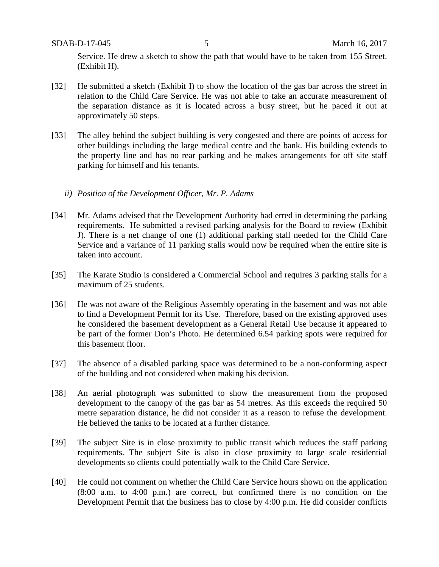Service. He drew a sketch to show the path that would have to be taken from 155 Street. (Exhibit H).

- [32] He submitted a sketch (Exhibit I) to show the location of the gas bar across the street in relation to the Child Care Service. He was not able to take an accurate measurement of the separation distance as it is located across a busy street, but he paced it out at approximately 50 steps.
- [33] The alley behind the subject building is very congested and there are points of access for other buildings including the large medical centre and the bank. His building extends to the property line and has no rear parking and he makes arrangements for off site staff parking for himself and his tenants.
	- *ii) Position of the Development Officer, Mr. P. Adams*
- [34] Mr. Adams advised that the Development Authority had erred in determining the parking requirements. He submitted a revised parking analysis for the Board to review (Exhibit J). There is a net change of one (1) additional parking stall needed for the Child Care Service and a variance of 11 parking stalls would now be required when the entire site is taken into account.
- [35] The Karate Studio is considered a Commercial School and requires 3 parking stalls for a maximum of 25 students.
- [36] He was not aware of the Religious Assembly operating in the basement and was not able to find a Development Permit for its Use. Therefore, based on the existing approved uses he considered the basement development as a General Retail Use because it appeared to be part of the former Don's Photo. He determined 6.54 parking spots were required for this basement floor.
- [37] The absence of a disabled parking space was determined to be a non-conforming aspect of the building and not considered when making his decision.
- [38] An aerial photograph was submitted to show the measurement from the proposed development to the canopy of the gas bar as 54 metres. As this exceeds the required 50 metre separation distance, he did not consider it as a reason to refuse the development. He believed the tanks to be located at a further distance.
- [39] The subject Site is in close proximity to public transit which reduces the staff parking requirements. The subject Site is also in close proximity to large scale residential developments so clients could potentially walk to the Child Care Service.
- [40] He could not comment on whether the Child Care Service hours shown on the application (8:00 a.m. to 4:00 p.m.) are correct, but confirmed there is no condition on the Development Permit that the business has to close by 4:00 p.m. He did consider conflicts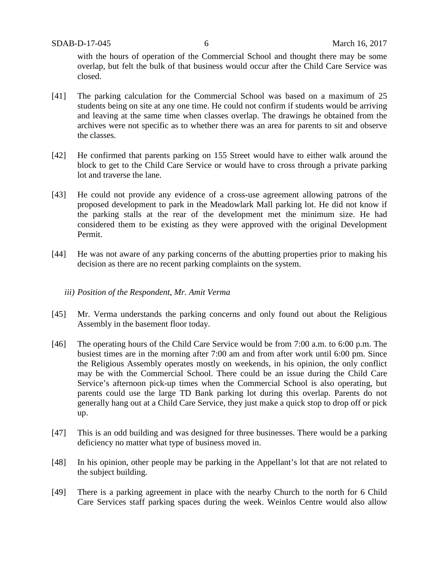with the hours of operation of the Commercial School and thought there may be some overlap, but felt the bulk of that business would occur after the Child Care Service was closed.

- [41] The parking calculation for the Commercial School was based on a maximum of 25 students being on site at any one time. He could not confirm if students would be arriving and leaving at the same time when classes overlap. The drawings he obtained from the archives were not specific as to whether there was an area for parents to sit and observe the classes.
- [42] He confirmed that parents parking on 155 Street would have to either walk around the block to get to the Child Care Service or would have to cross through a private parking lot and traverse the lane.
- [43] He could not provide any evidence of a cross-use agreement allowing patrons of the proposed development to park in the Meadowlark Mall parking lot. He did not know if the parking stalls at the rear of the development met the minimum size. He had considered them to be existing as they were approved with the original Development Permit.
- [44] He was not aware of any parking concerns of the abutting properties prior to making his decision as there are no recent parking complaints on the system.

## *iii) Position of the Respondent, Mr. Amit Verma*

- [45] Mr. Verma understands the parking concerns and only found out about the Religious Assembly in the basement floor today.
- [46] The operating hours of the Child Care Service would be from 7:00 a.m. to 6:00 p.m. The busiest times are in the morning after 7:00 am and from after work until 6:00 pm. Since the Religious Assembly operates mostly on weekends, in his opinion, the only conflict may be with the Commercial School. There could be an issue during the Child Care Service's afternoon pick-up times when the Commercial School is also operating, but parents could use the large TD Bank parking lot during this overlap. Parents do not generally hang out at a Child Care Service, they just make a quick stop to drop off or pick up.
- [47] This is an odd building and was designed for three businesses. There would be a parking deficiency no matter what type of business moved in.
- [48] In his opinion, other people may be parking in the Appellant's lot that are not related to the subject building.
- [49] There is a parking agreement in place with the nearby Church to the north for 6 Child Care Services staff parking spaces during the week. Weinlos Centre would also allow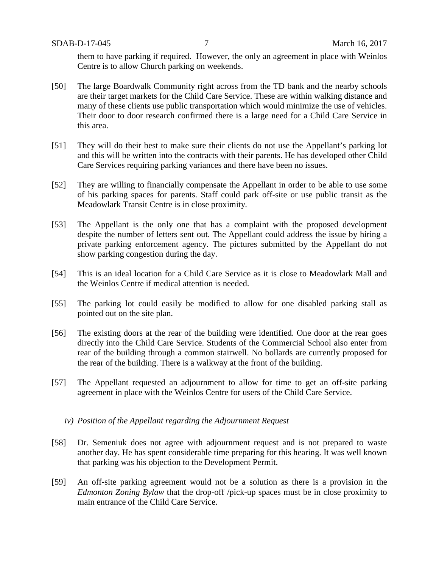them to have parking if required. However, the only an agreement in place with Weinlos Centre is to allow Church parking on weekends.

- [50] The large Boardwalk Community right across from the TD bank and the nearby schools are their target markets for the Child Care Service. These are within walking distance and many of these clients use public transportation which would minimize the use of vehicles. Their door to door research confirmed there is a large need for a Child Care Service in this area.
- [51] They will do their best to make sure their clients do not use the Appellant's parking lot and this will be written into the contracts with their parents. He has developed other Child Care Services requiring parking variances and there have been no issues.
- [52] They are willing to financially compensate the Appellant in order to be able to use some of his parking spaces for parents. Staff could park off-site or use public transit as the Meadowlark Transit Centre is in close proximity.
- [53] The Appellant is the only one that has a complaint with the proposed development despite the number of letters sent out. The Appellant could address the issue by hiring a private parking enforcement agency. The pictures submitted by the Appellant do not show parking congestion during the day.
- [54] This is an ideal location for a Child Care Service as it is close to Meadowlark Mall and the Weinlos Centre if medical attention is needed.
- [55] The parking lot could easily be modified to allow for one disabled parking stall as pointed out on the site plan.
- [56] The existing doors at the rear of the building were identified. One door at the rear goes directly into the Child Care Service. Students of the Commercial School also enter from rear of the building through a common stairwell. No bollards are currently proposed for the rear of the building. There is a walkway at the front of the building.
- [57] The Appellant requested an adjournment to allow for time to get an off-site parking agreement in place with the Weinlos Centre for users of the Child Care Service.
	- *iv) Position of the Appellant regarding the Adjournment Request*
- [58] Dr. Semeniuk does not agree with adjournment request and is not prepared to waste another day. He has spent considerable time preparing for this hearing. It was well known that parking was his objection to the Development Permit.
- [59] An off-site parking agreement would not be a solution as there is a provision in the *Edmonton Zoning Bylaw* that the drop-off /pick-up spaces must be in close proximity to main entrance of the Child Care Service.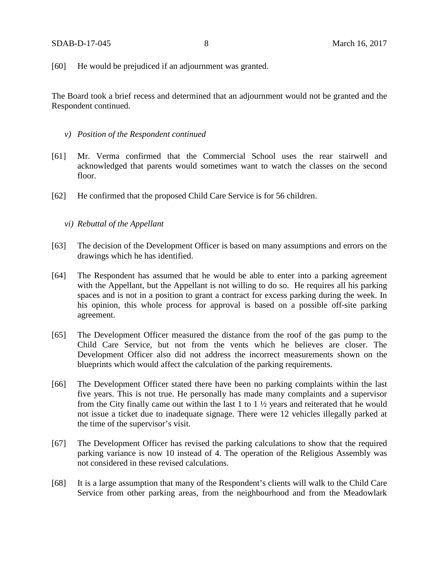[60] He would be prejudiced if an adjournment was granted.

The Board took a brief recess and determined that an adjournment would not be granted and the Respondent continued.

- *v) Position of the Respondent continued*
- [61] Mr. Verma confirmed that the Commercial School uses the rear stairwell and acknowledged that parents would sometimes want to watch the classes on the second floor.
- [62] He confirmed that the proposed Child Care Service is for 56 children.

### *vi) Rebuttal of the Appellant*

- [63] The decision of the Development Officer is based on many assumptions and errors on the drawings which he has identified.
- [64] The Respondent has assumed that he would be able to enter into a parking agreement with the Appellant, but the Appellant is not willing to do so. He requires all his parking spaces and is not in a position to grant a contract for excess parking during the week. In his opinion, this whole process for approval is based on a possible off-site parking agreement.
- [65] The Development Officer measured the distance from the roof of the gas pump to the Child Care Service, but not from the vents which he believes are closer. The Development Officer also did not address the incorrect measurements shown on the blueprints which would affect the calculation of the parking requirements.
- [66] The Development Officer stated there have been no parking complaints within the last five years. This is not true. He personally has made many complaints and a supervisor from the City finally came out within the last 1 to 1 ½ years and reiterated that he would not issue a ticket due to inadequate signage. There were 12 vehicles illegally parked at the time of the supervisor's visit.
- [67] The Development Officer has revised the parking calculations to show that the required parking variance is now 10 instead of 4. The operation of the Religious Assembly was not considered in these revised calculations.
- [68] It is a large assumption that many of the Respondent's clients will walk to the Child Care Service from other parking areas, from the neighbourhood and from the Meadowlark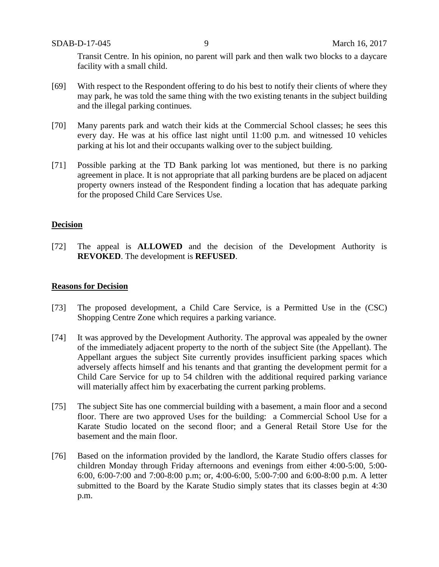Transit Centre. In his opinion, no parent will park and then walk two blocks to a daycare facility with a small child.

- [69] With respect to the Respondent offering to do his best to notify their clients of where they may park, he was told the same thing with the two existing tenants in the subject building and the illegal parking continues.
- [70] Many parents park and watch their kids at the Commercial School classes; he sees this every day. He was at his office last night until 11:00 p.m. and witnessed 10 vehicles parking at his lot and their occupants walking over to the subject building.
- [71] Possible parking at the TD Bank parking lot was mentioned, but there is no parking agreement in place. It is not appropriate that all parking burdens are be placed on adjacent property owners instead of the Respondent finding a location that has adequate parking for the proposed Child Care Services Use.

### **Decision**

[72] The appeal is **ALLOWED** and the decision of the Development Authority is **REVOKED**. The development is **REFUSED**.

## **Reasons for Decision**

- [73] The proposed development, a Child Care Service, is a Permitted Use in the (CSC) Shopping Centre Zone which requires a parking variance.
- [74] It was approved by the Development Authority. The approval was appealed by the owner of the immediately adjacent property to the north of the subject Site (the Appellant). The Appellant argues the subject Site currently provides insufficient parking spaces which adversely affects himself and his tenants and that granting the development permit for a Child Care Service for up to 54 children with the additional required parking variance will materially affect him by exacerbating the current parking problems.
- [75] The subject Site has one commercial building with a basement, a main floor and a second floor. There are two approved Uses for the building: a Commercial School Use for a Karate Studio located on the second floor; and a General Retail Store Use for the basement and the main floor.
- [76] Based on the information provided by the landlord, the Karate Studio offers classes for children Monday through Friday afternoons and evenings from either 4:00-5:00, 5:00- 6:00, 6:00-7:00 and 7:00-8:00 p.m; or, 4:00-6:00, 5:00-7:00 and 6:00-8:00 p.m. A letter submitted to the Board by the Karate Studio simply states that its classes begin at 4:30 p.m.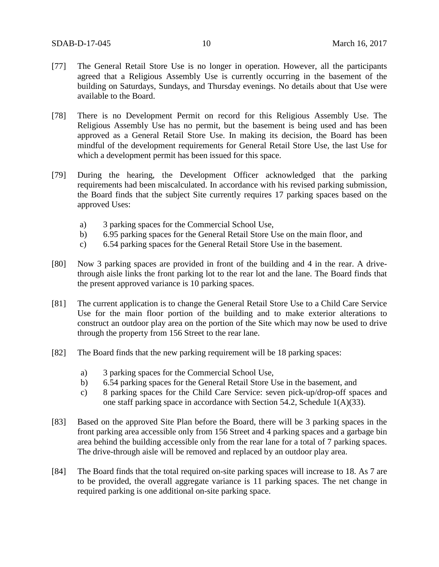- [77] The General Retail Store Use is no longer in operation. However, all the participants agreed that a Religious Assembly Use is currently occurring in the basement of the building on Saturdays, Sundays, and Thursday evenings. No details about that Use were available to the Board.
- [78] There is no Development Permit on record for this Religious Assembly Use. The Religious Assembly Use has no permit, but the basement is being used and has been approved as a General Retail Store Use. In making its decision, the Board has been mindful of the development requirements for General Retail Store Use, the last Use for which a development permit has been issued for this space.
- [79] During the hearing, the Development Officer acknowledged that the parking requirements had been miscalculated. In accordance with his revised parking submission, the Board finds that the subject Site currently requires 17 parking spaces based on the approved Uses:
	- a) 3 parking spaces for the Commercial School Use,
	- b) 6.95 parking spaces for the General Retail Store Use on the main floor, and
	- c) 6.54 parking spaces for the General Retail Store Use in the basement.
- [80] Now 3 parking spaces are provided in front of the building and 4 in the rear. A drivethrough aisle links the front parking lot to the rear lot and the lane. The Board finds that the present approved variance is 10 parking spaces.
- [81] The current application is to change the General Retail Store Use to a Child Care Service Use for the main floor portion of the building and to make exterior alterations to construct an outdoor play area on the portion of the Site which may now be used to drive through the property from 156 Street to the rear lane.
- [82] The Board finds that the new parking requirement will be 18 parking spaces:
	- a) 3 parking spaces for the Commercial School Use,
	- b) 6.54 parking spaces for the General Retail Store Use in the basement, and
	- c) 8 parking spaces for the Child Care Service: seven pick-up/drop-off spaces and one staff parking space in accordance with Section 54.2, Schedule 1(A)(33).
- [83] Based on the approved Site Plan before the Board, there will be 3 parking spaces in the front parking area accessible only from 156 Street and 4 parking spaces and a garbage bin area behind the building accessible only from the rear lane for a total of 7 parking spaces. The drive-through aisle will be removed and replaced by an outdoor play area.
- [84] The Board finds that the total required on-site parking spaces will increase to 18. As 7 are to be provided, the overall aggregate variance is 11 parking spaces. The net change in required parking is one additional on-site parking space.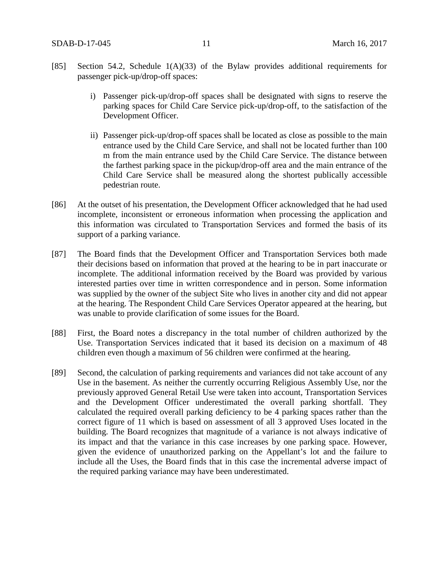- [85] Section 54.2, Schedule 1(A)(33) of the Bylaw provides additional requirements for passenger pick-up/drop-off spaces:
	- i) Passenger pick-up/drop-off spaces shall be designated with signs to reserve the parking spaces for Child Care Service pick-up/drop-off, to the satisfaction of the Development Officer.
	- ii) Passenger pick-up/drop-off spaces shall be located as close as possible to the main entrance used by the Child Care Service, and shall not be located further than 100 m from the main entrance used by the Child Care Service. The distance between the farthest parking space in the pickup/drop-off area and the main entrance of the Child Care Service shall be measured along the shortest publically accessible pedestrian route.
- [86] At the outset of his presentation, the Development Officer acknowledged that he had used incomplete, inconsistent or erroneous information when processing the application and this information was circulated to Transportation Services and formed the basis of its support of a parking variance.
- [87] The Board finds that the Development Officer and Transportation Services both made their decisions based on information that proved at the hearing to be in part inaccurate or incomplete. The additional information received by the Board was provided by various interested parties over time in written correspondence and in person. Some information was supplied by the owner of the subject Site who lives in another city and did not appear at the hearing. The Respondent Child Care Services Operator appeared at the hearing, but was unable to provide clarification of some issues for the Board.
- [88] First, the Board notes a discrepancy in the total number of children authorized by the Use. Transportation Services indicated that it based its decision on a maximum of 48 children even though a maximum of 56 children were confirmed at the hearing.
- [89] Second, the calculation of parking requirements and variances did not take account of any Use in the basement. As neither the currently occurring Religious Assembly Use, nor the previously approved General Retail Use were taken into account, Transportation Services and the Development Officer underestimated the overall parking shortfall. They calculated the required overall parking deficiency to be 4 parking spaces rather than the correct figure of 11 which is based on assessment of all 3 approved Uses located in the building. The Board recognizes that magnitude of a variance is not always indicative of its impact and that the variance in this case increases by one parking space. However, given the evidence of unauthorized parking on the Appellant's lot and the failure to include all the Uses, the Board finds that in this case the incremental adverse impact of the required parking variance may have been underestimated.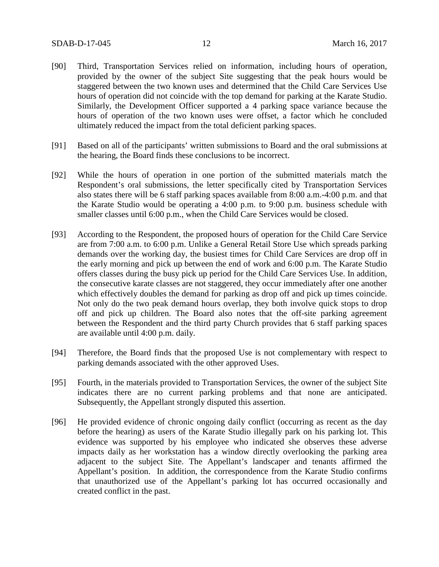- [90] Third, Transportation Services relied on information, including hours of operation, provided by the owner of the subject Site suggesting that the peak hours would be staggered between the two known uses and determined that the Child Care Services Use hours of operation did not coincide with the top demand for parking at the Karate Studio. Similarly, the Development Officer supported a 4 parking space variance because the hours of operation of the two known uses were offset, a factor which he concluded ultimately reduced the impact from the total deficient parking spaces.
- [91] Based on all of the participants' written submissions to Board and the oral submissions at the hearing, the Board finds these conclusions to be incorrect.
- [92] While the hours of operation in one portion of the submitted materials match the Respondent's oral submissions, the letter specifically cited by Transportation Services also states there will be 6 staff parking spaces available from 8:00 a.m.-4:00 p.m. and that the Karate Studio would be operating a 4:00 p.m. to 9:00 p.m. business schedule with smaller classes until 6:00 p.m., when the Child Care Services would be closed.
- [93] According to the Respondent, the proposed hours of operation for the Child Care Service are from 7:00 a.m. to 6:00 p.m. Unlike a General Retail Store Use which spreads parking demands over the working day, the busiest times for Child Care Services are drop off in the early morning and pick up between the end of work and 6:00 p.m. The Karate Studio offers classes during the busy pick up period for the Child Care Services Use. In addition, the consecutive karate classes are not staggered, they occur immediately after one another which effectively doubles the demand for parking as drop off and pick up times coincide. Not only do the two peak demand hours overlap, they both involve quick stops to drop off and pick up children. The Board also notes that the off-site parking agreement between the Respondent and the third party Church provides that 6 staff parking spaces are available until 4:00 p.m. daily.
- [94] Therefore, the Board finds that the proposed Use is not complementary with respect to parking demands associated with the other approved Uses.
- [95] Fourth, in the materials provided to Transportation Services, the owner of the subject Site indicates there are no current parking problems and that none are anticipated. Subsequently, the Appellant strongly disputed this assertion.
- [96] He provided evidence of chronic ongoing daily conflict (occurring as recent as the day before the hearing) as users of the Karate Studio illegally park on his parking lot. This evidence was supported by his employee who indicated she observes these adverse impacts daily as her workstation has a window directly overlooking the parking area adjacent to the subject Site. The Appellant's landscaper and tenants affirmed the Appellant's position. In addition, the correspondence from the Karate Studio confirms that unauthorized use of the Appellant's parking lot has occurred occasionally and created conflict in the past.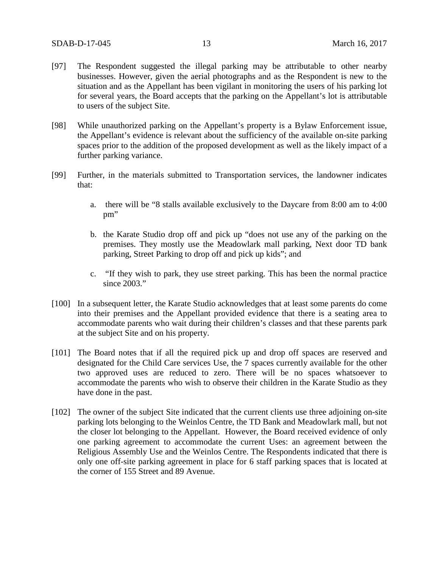- [97] The Respondent suggested the illegal parking may be attributable to other nearby businesses. However, given the aerial photographs and as the Respondent is new to the situation and as the Appellant has been vigilant in monitoring the users of his parking lot for several years, the Board accepts that the parking on the Appellant's lot is attributable to users of the subject Site.
- [98] While unauthorized parking on the Appellant's property is a Bylaw Enforcement issue, the Appellant's evidence is relevant about the sufficiency of the available on-site parking spaces prior to the addition of the proposed development as well as the likely impact of a further parking variance.
- [99] Further, in the materials submitted to Transportation services, the landowner indicates that:
	- a. there will be "8 stalls available exclusively to the Daycare from 8:00 am to 4:00 pm"
	- b. the Karate Studio drop off and pick up "does not use any of the parking on the premises. They mostly use the Meadowlark mall parking, Next door TD bank parking, Street Parking to drop off and pick up kids"; and
	- c. "If they wish to park, they use street parking. This has been the normal practice since 2003."
- [100] In a subsequent letter, the Karate Studio acknowledges that at least some parents do come into their premises and the Appellant provided evidence that there is a seating area to accommodate parents who wait during their children's classes and that these parents park at the subject Site and on his property.
- [101] The Board notes that if all the required pick up and drop off spaces are reserved and designated for the Child Care services Use, the 7 spaces currently available for the other two approved uses are reduced to zero. There will be no spaces whatsoever to accommodate the parents who wish to observe their children in the Karate Studio as they have done in the past.
- [102] The owner of the subject Site indicated that the current clients use three adjoining on-site parking lots belonging to the Weinlos Centre, the TD Bank and Meadowlark mall, but not the closer lot belonging to the Appellant. However, the Board received evidence of only one parking agreement to accommodate the current Uses: an agreement between the Religious Assembly Use and the Weinlos Centre. The Respondents indicated that there is only one off-site parking agreement in place for 6 staff parking spaces that is located at the corner of 155 Street and 89 Avenue.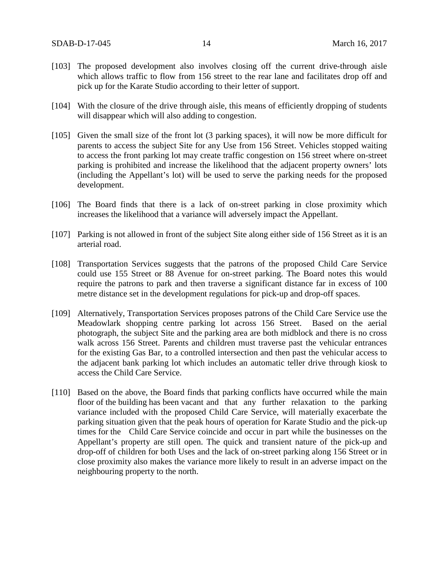- [103] The proposed development also involves closing off the current drive-through aisle which allows traffic to flow from 156 street to the rear lane and facilitates drop off and pick up for the Karate Studio according to their letter of support.
- [104] With the closure of the drive through aisle, this means of efficiently dropping of students will disappear which will also adding to congestion.
- [105] Given the small size of the front lot (3 parking spaces), it will now be more difficult for parents to access the subject Site for any Use from 156 Street. Vehicles stopped waiting to access the front parking lot may create traffic congestion on 156 street where on-street parking is prohibited and increase the likelihood that the adjacent property owners' lots (including the Appellant's lot) will be used to serve the parking needs for the proposed development.
- [106] The Board finds that there is a lack of on-street parking in close proximity which increases the likelihood that a variance will adversely impact the Appellant.
- [107] Parking is not allowed in front of the subject Site along either side of 156 Street as it is an arterial road.
- [108] Transportation Services suggests that the patrons of the proposed Child Care Service could use 155 Street or 88 Avenue for on-street parking. The Board notes this would require the patrons to park and then traverse a significant distance far in excess of 100 metre distance set in the development regulations for pick-up and drop-off spaces.
- [109] Alternatively, Transportation Services proposes patrons of the Child Care Service use the Meadowlark shopping centre parking lot across 156 Street. Based on the aerial photograph, the subject Site and the parking area are both midblock and there is no cross walk across 156 Street. Parents and children must traverse past the vehicular entrances for the existing Gas Bar, to a controlled intersection and then past the vehicular access to the adjacent bank parking lot which includes an automatic teller drive through kiosk to access the Child Care Service.
- [110] Based on the above, the Board finds that parking conflicts have occurred while the main floor of the building has been vacant and that any further relaxation to the parking variance included with the proposed Child Care Service, will materially exacerbate the parking situation given that the peak hours of operation for Karate Studio and the pick-up times for the Child Care Service coincide and occur in part while the businesses on the Appellant's property are still open. The quick and transient nature of the pick-up and drop-off of children for both Uses and the lack of on-street parking along 156 Street or in close proximity also makes the variance more likely to result in an adverse impact on the neighbouring property to the north.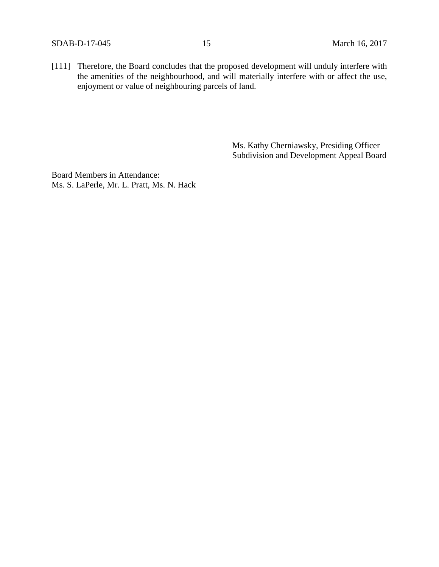SDAB-D-17-045 15 March 16, 2017

[111] Therefore, the Board concludes that the proposed development will unduly interfere with the amenities of the neighbourhood, and will materially interfere with or affect the use, enjoyment or value of neighbouring parcels of land.

> Ms. Kathy Cherniawsky, Presiding Officer Subdivision and Development Appeal Board

Board Members in Attendance: Ms. S. LaPerle, Mr. L. Pratt, Ms. N. Hack